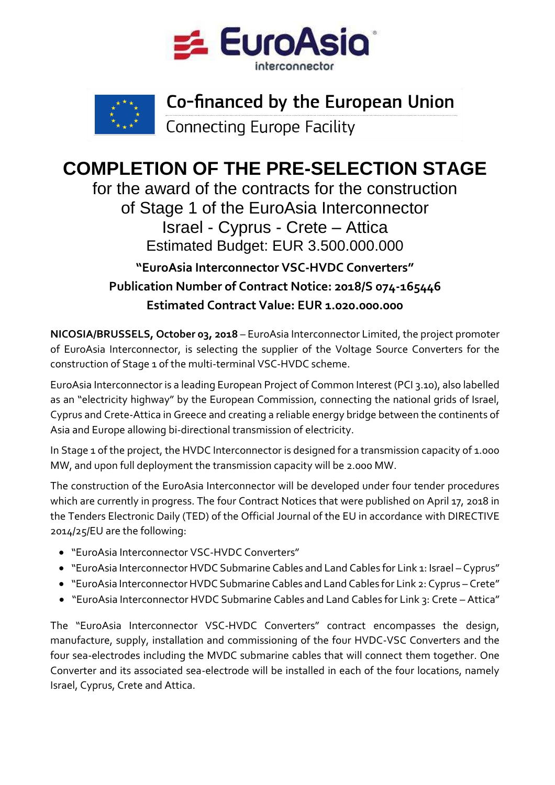



## Co-financed by the European Union

**Connecting Europe Facility** 

## **COMPLETION OF THE PRE-SELECTION STAGE**

for the award of the contracts for the construction of Stage 1 of the EuroAsia Interconnector Israel - Cyprus - Crete – Attica Estimated Budget: EUR 3.500.000.000

## **"EuroAsia Interconnector VSC-HVDC Converters" Publication Number of Contract Notice: 2018/S 074-165446 Estimated Contract Value: EUR 1.020.000.000**

**NICOSIA/BRUSSELS, October 03, 2018** – EuroAsia Interconnector Limited, the project promoter of EuroAsia Interconnector, is selecting the supplier of the Voltage Source Converters for the construction of Stage 1 of the multi-terminal VSC-HVDC scheme.

EuroAsia Interconnector is a leading European Project of Common Interest (PCI 3.10), also labelled as an "electricity highway" by the European Commission, connecting the national grids of Israel, Cyprus and Crete-Attica in Greece and creating a reliable energy bridge between the continents of Asia and Europe allowing bi-directional transmission of electricity.

In Stage 1 of the project, the HVDC Interconnector is designed for a transmission capacity of 1.000 MW, and upon full deployment the transmission capacity will be 2.000 MW.

The construction of the EuroAsia Interconnector will be developed under four tender procedures which are currently in progress. The four Contract Notices that were published on April 17, 2018 in the Tenders Electronic Daily (TED) of the Official Journal of the EU in accordance with DIRECTIVE 2014/25/EU are the following:

- "EuroAsia Interconnector VSC-HVDC Converters"
- "EuroAsia Interconnector HVDC Submarine Cables and Land Cables for Link 1: Israel Cyprus"
- "EuroAsia Interconnector HVDC Submarine Cables and Land Cables for Link 2: Cyprus Crete"
- "EuroAsia Interconnector HVDC Submarine Cables and Land Cables for Link 3: Crete Attica"

The "EuroAsia Interconnector VSC-HVDC Converters" contract encompasses the design, manufacture, supply, installation and commissioning of the four HVDC-VSC Converters and the four sea-electrodes including the MVDC submarine cables that will connect them together. One Converter and its associated sea-electrode will be installed in each of the four locations, namely Israel, Cyprus, Crete and Attica.